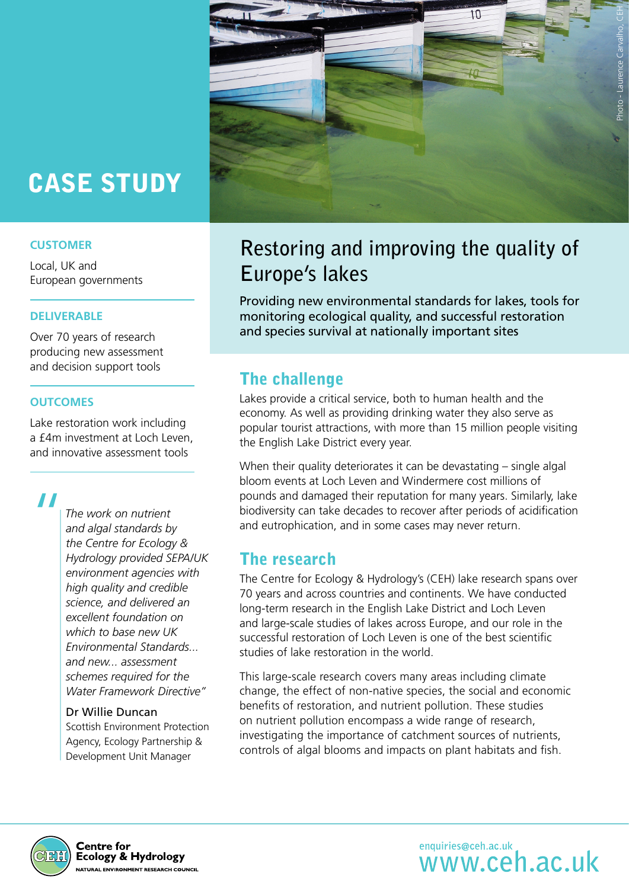# CASE STUDY

### **CUSTOMER**

Local, UK and European governments

### **DELIVERABLE**

Over 70 years of research producing new assessment and decision support tools

### **OUTCOMES**

Lake restoration work including a £4m investment at Loch Leven, and innovative assessment tools

 $\left| \frac{1}{\sqrt{2}} \right|$ 

*The work on nutrient and algal standards by the Centre for Ecology & Hydrology provided SEPA/UK environment agencies with high quality and credible science, and delivered an excellent foundation on which to base new UK Environmental Standards... and new... assessment schemes required for the Water Framework Directive"*

#### Dr Willie Duncan

Scottish Environment Protection Agency, Ecology Partnership & Development Unit Manager



## **Restoring and improving the quality of Europe's lakes**

Providing new environmental standards for lakes, tools for monitoring ecological quality, and successful restoration and species survival at nationally important sites

## The challenge

Lakes provide a critical service, both to human health and the economy. As well as providing drinking water they also serve as popular tourist attractions, with more than 15 million people visiting the English Lake District every year.

When their quality deteriorates it can be devastating – single algal bloom events at Loch Leven and Windermere cost millions of pounds and damaged their reputation for many years. Similarly, lake biodiversity can take decades to recover after periods of acidification and eutrophication, and in some cases may never return.

### The research

The Centre for Ecology & Hydrology's (CEH) lake research spans over 70 years and across countries and continents. We have conducted long-term research in the English Lake District and Loch Leven and large-scale studies of lakes across Europe, and our role in the successful restoration of Loch Leven is one of the best scientific studies of lake restoration in the world.

This large-scale research covers many areas including climate change, the effect of non-native species, the social and economic benefits of restoration, and nutrient pollution. These studies on nutrient pollution encompass a wide range of research, investigating the importance of catchment sources of nutrients, controls of algal blooms and impacts on plant habitats and fish.



**Centre for Ecology & Hydrology NATURAL ENVIRONMENT RESEARCH COUNCIL**  enquiries@ceh.ac.uk<br>WWW.Ceh.ac.uk